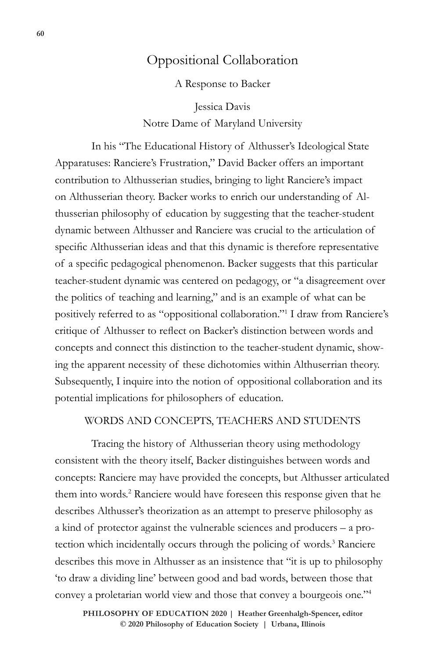# Oppositional Collaboration

A Response to Backer

Jessica Davis Notre Dame of Maryland University

In his "The Educational History of Althusser's Ideological State Apparatuses: Ranciere's Frustration," David Backer offers an important contribution to Althusserian studies, bringing to light Ranciere's impact on Althusserian theory. Backer works to enrich our understanding of Althusserian philosophy of education by suggesting that the teacher-student dynamic between Althusser and Ranciere was crucial to the articulation of specific Althusserian ideas and that this dynamic is therefore representative of a specific pedagogical phenomenon. Backer suggests that this particular teacher-student dynamic was centered on pedagogy, or "a disagreement over the politics of teaching and learning," and is an example of what can be positively referred to as "oppositional collaboration."1 I draw from Ranciere's critique of Althusser to reflect on Backer's distinction between words and concepts and connect this distinction to the teacher-student dynamic, showing the apparent necessity of these dichotomies within Althuserrian theory. Subsequently, I inquire into the notion of oppositional collaboration and its potential implications for philosophers of education.

### WORDS AND CONCEPTS, TEACHERS AND STUDENTS

Tracing the history of Althusserian theory using methodology consistent with the theory itself, Backer distinguishes between words and concepts: Ranciere may have provided the concepts, but Althusser articulated them into words.<sup>2</sup> Ranciere would have foreseen this response given that he describes Althusser's theorization as an attempt to preserve philosophy as a kind of protector against the vulnerable sciences and producers – a protection which incidentally occurs through the policing of words.<sup>3</sup> Ranciere describes this move in Althusser as an insistence that "it is up to philosophy 'to draw a dividing line' between good and bad words, between those that convey a proletarian world view and those that convey a bourgeois one."4

**60 Oppositional Collaboration**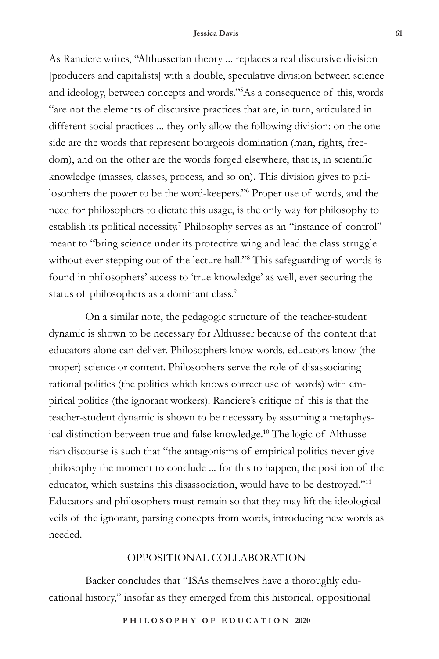#### **Jessica Davis 61**

As Ranciere writes, "Althusserian theory ... replaces a real discursive division [producers and capitalists] with a double, speculative division between science and ideology, between concepts and words."5 As a consequence of this, words "are not the elements of discursive practices that are, in turn, articulated in different social practices ... they only allow the following division: on the one side are the words that represent bourgeois domination (man, rights, freedom), and on the other are the words forged elsewhere, that is, in scientific knowledge (masses, classes, process, and so on). This division gives to philosophers the power to be the word-keepers."6 Proper use of words, and the need for philosophers to dictate this usage, is the only way for philosophy to establish its political necessity.<sup>7</sup> Philosophy serves as an "instance of control" meant to "bring science under its protective wing and lead the class struggle without ever stepping out of the lecture hall."<sup>8</sup> This safeguarding of words is found in philosophers' access to 'true knowledge' as well, ever securing the status of philosophers as a dominant class.<sup>9</sup>

On a similar note, the pedagogic structure of the teacher-student dynamic is shown to be necessary for Althusser because of the content that educators alone can deliver. Philosophers know words, educators know (the proper) science or content. Philosophers serve the role of disassociating rational politics (the politics which knows correct use of words) with empirical politics (the ignorant workers). Ranciere's critique of this is that the teacher-student dynamic is shown to be necessary by assuming a metaphysical distinction between true and false knowledge.<sup>10</sup> The logic of Althusserian discourse is such that "the antagonisms of empirical politics never give philosophy the moment to conclude ... for this to happen, the position of the educator, which sustains this disassociation, would have to be destroyed."11 Educators and philosophers must remain so that they may lift the ideological veils of the ignorant, parsing concepts from words, introducing new words as needed.

### OPPOSITIONAL COLLABORATION

Backer concludes that "ISAs themselves have a thoroughly educational history," insofar as they emerged from this historical, oppositional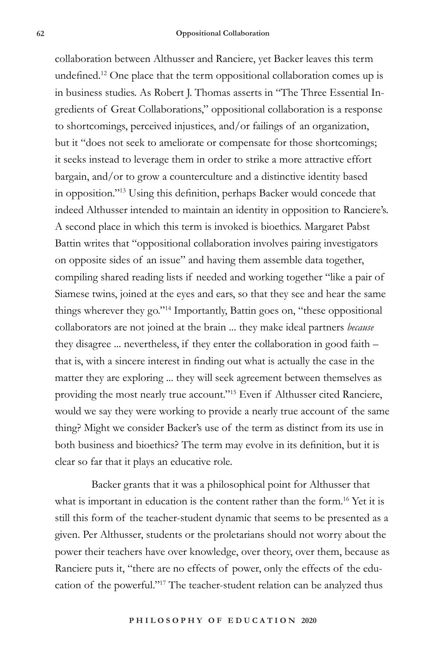collaboration between Althusser and Ranciere, yet Backer leaves this term undefined.12 One place that the term oppositional collaboration comes up is in business studies. As Robert J. Thomas asserts in "The Three Essential Ingredients of Great Collaborations," oppositional collaboration is a response to shortcomings, perceived injustices, and/or failings of an organization, but it "does not seek to ameliorate or compensate for those shortcomings; it seeks instead to leverage them in order to strike a more attractive effort bargain, and/or to grow a counterculture and a distinctive identity based in opposition."13 Using this definition, perhaps Backer would concede that indeed Althusser intended to maintain an identity in opposition to Ranciere's. A second place in which this term is invoked is bioethics. Margaret Pabst Battin writes that "oppositional collaboration involves pairing investigators on opposite sides of an issue" and having them assemble data together, compiling shared reading lists if needed and working together "like a pair of Siamese twins, joined at the eyes and ears, so that they see and hear the same things wherever they go."14 Importantly, Battin goes on, "these oppositional collaborators are not joined at the brain ... they make ideal partners *because* they disagree ... nevertheless, if they enter the collaboration in good faith – that is, with a sincere interest in finding out what is actually the case in the matter they are exploring ... they will seek agreement between themselves as providing the most nearly true account."15 Even if Althusser cited Ranciere, would we say they were working to provide a nearly true account of the same thing? Might we consider Backer's use of the term as distinct from its use in both business and bioethics? The term may evolve in its definition, but it is clear so far that it plays an educative role.

Backer grants that it was a philosophical point for Althusser that what is important in education is the content rather than the form.<sup>16</sup> Yet it is still this form of the teacher-student dynamic that seems to be presented as a given. Per Althusser, students or the proletarians should not worry about the power their teachers have over knowledge, over theory, over them, because as Ranciere puts it, "there are no effects of power, only the effects of the education of the powerful."17 The teacher-student relation can be analyzed thus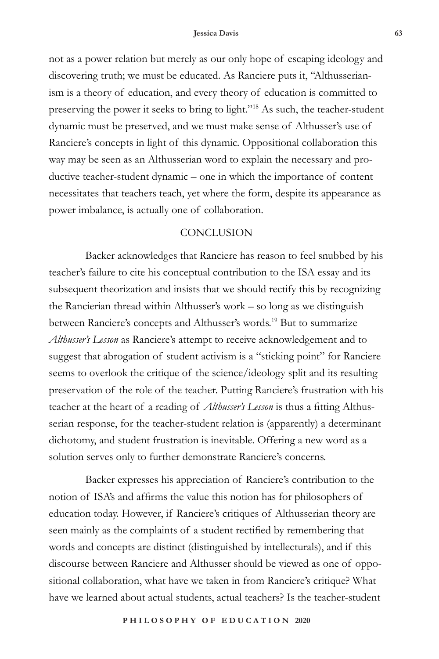not as a power relation but merely as our only hope of escaping ideology and discovering truth; we must be educated. As Ranciere puts it, "Althusserianism is a theory of education, and every theory of education is committed to preserving the power it seeks to bring to light."18 As such, the teacher-student dynamic must be preserved, and we must make sense of Althusser's use of Ranciere's concepts in light of this dynamic. Oppositional collaboration this way may be seen as an Althusserian word to explain the necessary and productive teacher-student dynamic – one in which the importance of content necessitates that teachers teach, yet where the form, despite its appearance as power imbalance, is actually one of collaboration.

## **CONCLUSION**

Backer acknowledges that Ranciere has reason to feel snubbed by his teacher's failure to cite his conceptual contribution to the ISA essay and its subsequent theorization and insists that we should rectify this by recognizing the Rancierian thread within Althusser's work – so long as we distinguish between Ranciere's concepts and Althusser's words.<sup>19</sup> But to summarize *Althusser's Lesson* as Ranciere's attempt to receive acknowledgement and to suggest that abrogation of student activism is a "sticking point" for Ranciere seems to overlook the critique of the science/ideology split and its resulting preservation of the role of the teacher. Putting Ranciere's frustration with his teacher at the heart of a reading of *Althusser's Lesson* is thus a fitting Althusserian response, for the teacher-student relation is (apparently) a determinant dichotomy, and student frustration is inevitable. Offering a new word as a solution serves only to further demonstrate Ranciere's concerns.

Backer expresses his appreciation of Ranciere's contribution to the notion of ISA's and affirms the value this notion has for philosophers of education today. However, if Ranciere's critiques of Althusserian theory are seen mainly as the complaints of a student rectified by remembering that words and concepts are distinct (distinguished by intellecturals), and if this discourse between Ranciere and Althusser should be viewed as one of oppositional collaboration, what have we taken in from Ranciere's critique? What have we learned about actual students, actual teachers? Is the teacher-student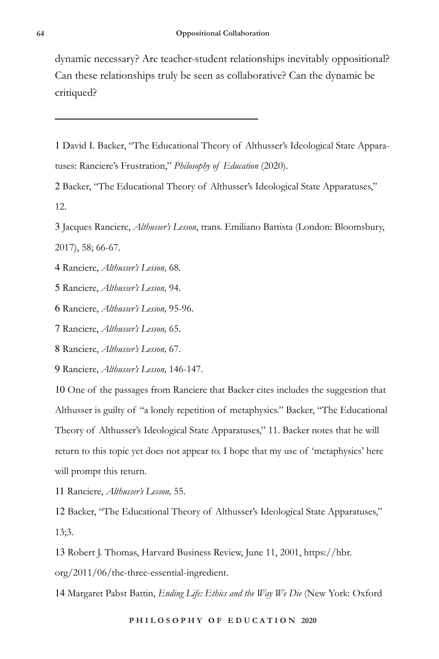dynamic necessary? Are teacher-student relationships inevitably oppositional? Can these relationships truly be seen as collaborative? Can the dynamic be critiqued?

1 David I. Backer, "The Educational Theory of Althusser's Ideological State Apparatuses: Ranciere's Frustration," *Philosophy of Education* (2020).

2 Backer, "The Educational Theory of Althusser's Ideological State Apparatuses," 12.

3 Jacques Ranciere, *Althusser's Lesson*, trans. Emiliano Battista (London: Bloomsbury, 2017), 58; 66-67.

4 Ranciere, *Althusser's Lesson,* 68.

5 Ranciere, *Althusser's Lesson,* 94.

6 Ranciere, *Althusser's Lesson,* 95-96.

7 Ranciere, *Althusser's Lesson,* 65.

8 Ranciere, *Althusser's Lesson,* 67.

9 Ranciere, *Althusser's Lesson,* 146-147.

10 One of the passages from Ranciere that Backer cites includes the suggestion that Althusser is guilty of "a lonely repetition of metaphysics." Backer, "The Educational Theory of Althusser's Ideological State Apparatuses," 11. Backer notes that he will return to this topic yet does not appear to. I hope that my use of 'metaphysics' here will prompt this return.

11 Ranciere, *Althusser's Lesson,* 55.

12 Backer, "The Educational Theory of Althusser's Ideological State Apparatuses," 13;3.

13 Robert J. Thomas, Harvard Business Review, June 11, 2001, https://hbr.

org/2011/06/the-three-essential-ingredient.

14 Margaret Pabst Battin, *Ending Life: Ethics and the Way We Die* (New York: Oxford